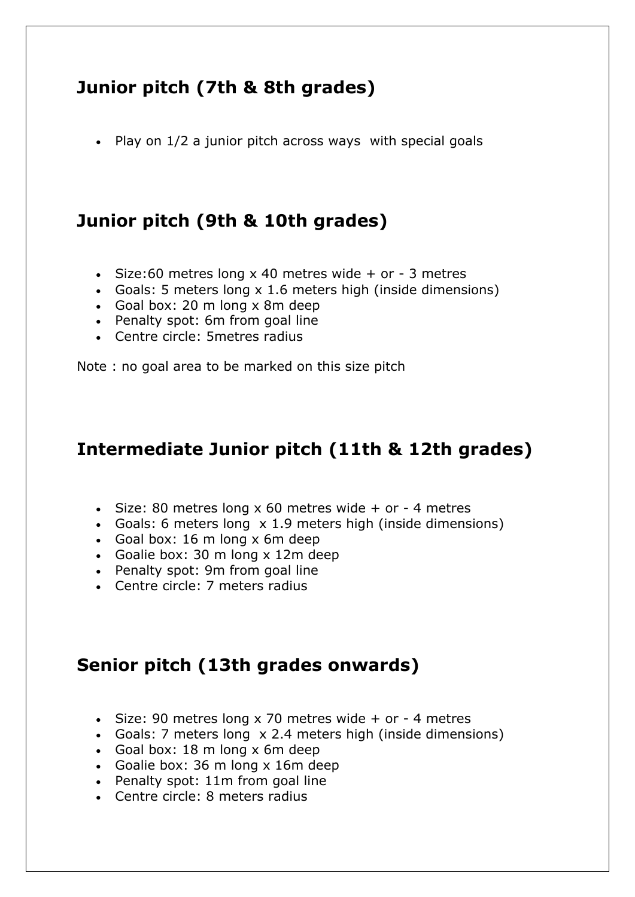## **Junior pitch (7th & 8th grades)**

• Play on 1/2 a junior pitch across ways with special goals

## **Junior pitch (9th & 10th grades)**

- $\cdot$  Size:60 metres long x 40 metres wide + or 3 metres
- Goals: 5 meters long x 1.6 meters high (inside dimensions)
- Goal box: 20 m long x 8m deep
- Penalty spot: 6m from goal line
- Centre circle: 5metres radius

Note : no goal area to be marked on this size pitch

## **Intermediate Junior pitch (11th & 12th grades)**

- $\cdot$  Size: 80 metres long x 60 metres wide + or 4 metres
- Goals: 6 meters long x 1.9 meters high (inside dimensions)
- Goal box: 16 m long x 6m deep
- Goalie box: 30 m long x 12m deep
- Penalty spot: 9m from goal line
- Centre circle: 7 meters radius

## **Senior pitch (13th grades onwards)**

- $\cdot$  Size: 90 metres long x 70 metres wide + or 4 metres
- Goals: 7 meters long x 2.4 meters high (inside dimensions)
- Goal box:  $18 \text{ m}$  long x 6m deep
- Goalie box: 36 m long x 16m deep
- Penalty spot: 11m from goal line
- Centre circle: 8 meters radius